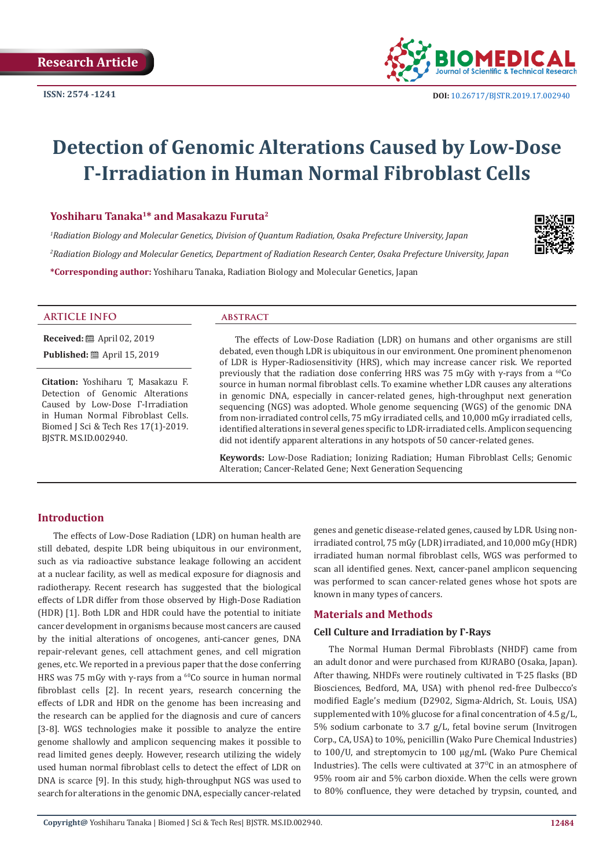

# **Detection of Genomic Alterations Caused by Low-Dose Γ-Irradiation in Human Normal Fibroblast Cells**

#### **Yoshiharu Tanaka1\* and Masakazu Furuta<sup>2</sup>**

*1 Radiation Biology and Molecular Genetics, Division of Quantum Radiation, Osaka Prefecture University, Japan 2 Radiation Biology and Molecular Genetics, Department of Radiation Research Center, Osaka Prefecture University, Japan* **\*Corresponding author:** Yoshiharu Tanaka, Radiation Biology and Molecular Genetics, Japan



**Received:** ■ April 02, 2019 **Published:** ■ April 15, 2019

**Citation:** Yoshiharu T, Masakazu F. Detection of Genomic Alterations Caused by Low-Dose Γ-Irradiation in Human Normal Fibroblast Cells. Biomed J Sci & Tech Res 17(1)-2019. BJSTR. MS.ID.002940.

The effects of Low-Dose Radiation (LDR) on humans and other organisms are still debated, even though LDR is ubiquitous in our environment. One prominent phenomenon of LDR is Hyper-Radiosensitivity (HRS), which may increase cancer risk. We reported previously that the radiation dose conferring HRS was 75 mGy with γ-rays from a <sup>60</sup>Co source in human normal fibroblast cells. To examine whether LDR causes any alterations in genomic DNA, especially in cancer-related genes, high-throughput next generation sequencing (NGS) was adopted. Whole genome sequencing (WGS) of the genomic DNA from non-irradiated control cells, 75 mGy irradiated cells, and 10,000 mGy irradiated cells, identified alterations in several genes specific to LDR-irradiated cells. Amplicon sequencing did not identify apparent alterations in any hotspots of 50 cancer-related genes.

**Keywords:** Low-Dose Radiation; Ionizing Radiation; Human Fibroblast Cells; Genomic Alteration; Cancer-Related Gene; Next Generation Sequencing

#### **Introduction**

The effects of Low-Dose Radiation (LDR) on human health are still debated, despite LDR being ubiquitous in our environment, such as via radioactive substance leakage following an accident at a nuclear facility, as well as medical exposure for diagnosis and radiotherapy. Recent research has suggested that the biological effects of LDR differ from those observed by High-Dose Radiation (HDR) [1]. Both LDR and HDR could have the potential to initiate cancer development in organisms because most cancers are caused by the initial alterations of oncogenes, anti-cancer genes, DNA repair-relevant genes, cell attachment genes, and cell migration genes, etc. We reported in a previous paper that the dose conferring HRS was 75 mGy with γ-rays from a  $^{60}$ Co source in human normal fibroblast cells [2]. In recent years, research concerning the effects of LDR and HDR on the genome has been increasing and the research can be applied for the diagnosis and cure of cancers [3-8]. WGS technologies make it possible to analyze the entire genome shallowly and amplicon sequencing makes it possible to read limited genes deeply. However, research utilizing the widely used human normal fibroblast cells to detect the effect of LDR on DNA is scarce [9]. In this study, high-throughput NGS was used to search for alterations in the genomic DNA, especially cancer-related

genes and genetic disease-related genes, caused by LDR. Using nonirradiated control, 75 mGy (LDR) irradiated, and 10,000 mGy (HDR) irradiated human normal fibroblast cells, WGS was performed to scan all identified genes. Next, cancer-panel amplicon sequencing was performed to scan cancer-related genes whose hot spots are known in many types of cancers.

#### **Materials and Methods**

#### **Cell Culture and Irradiation by Γ-Rays**

The Normal Human Dermal Fibroblasts (NHDF) came from an adult donor and were purchased from KURABO (Osaka, Japan). After thawing, NHDFs were routinely cultivated in T-25 flasks (BD Biosciences, Bedford, MA, USA) with phenol red-free Dulbecco's modified Eagle's medium (D2902, Sigma-Aldrich, St. Louis, USA) supplemented with 10% glucose for a final concentration of 4.5 g/L, 5% sodium carbonate to 3.7 g/L, fetal bovine serum (Invitrogen Corp., CA, USA) to 10%, penicillin (Wako Pure Chemical Industries) to 100/U, and streptomycin to 100 μg/mL (Wako Pure Chemical Industries). The cells were cultivated at  $37^{\circ}$ C in an atmosphere of 95% room air and 5% carbon dioxide. When the cells were grown to 80% confluence, they were detached by trypsin, counted, and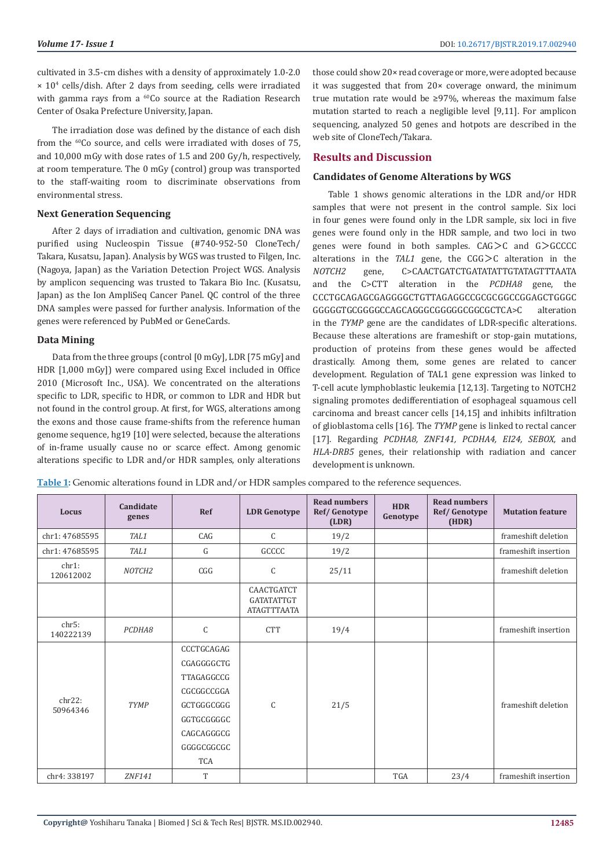cultivated in 3.5-cm dishes with a density of approximately 1.0-2.0 × 104 cells/dish. After 2 days from seeding, cells were irradiated with gamma rays from a <sup>60</sup>Co source at the Radiation Research Center of Osaka Prefecture University, Japan.

The irradiation dose was defined by the distance of each dish from the 60Co source, and cells were irradiated with doses of 75, and 10,000 mGy with dose rates of 1.5 and 200 Gy/h, respectively, at room temperature. The 0 mGy (control) group was transported to the staff-waiting room to discriminate observations from environmental stress.

#### **Next Generation Sequencing**

After 2 days of irradiation and cultivation, genomic DNA was purified using Nucleospin Tissue (#740-952-50 CloneTech/ Takara, Kusatsu, Japan). Analysis by WGS was trusted to Filgen, Inc. (Nagoya, Japan) as the Variation Detection Project WGS. Analysis by amplicon sequencing was trusted to Takara Bio Inc. (Kusatsu, Japan) as the Ion AmpliSeq Cancer Panel. QC control of the three DNA samples were passed for further analysis. Information of the genes were referenced by PubMed or GeneCards.

#### **Data Mining**

Data from the three groups (control [0 mGy], LDR [75 mGy] and HDR [1,000 mGy]) were compared using Excel included in Office 2010 (Microsoft Inc., USA). We concentrated on the alterations specific to LDR, specific to HDR, or common to LDR and HDR but not found in the control group. At first, for WGS, alterations among the exons and those cause frame-shifts from the reference human genome sequence, hg19 [10] were selected, because the alterations of in-frame usually cause no or scarce effect. Among genomic alterations specific to LDR and/or HDR samples, only alterations

those could show 20× read coverage or more, were adopted because it was suggested that from 20× coverage onward, the minimum true mutation rate would be ≥97%, whereas the maximum false mutation started to reach a negligible level [9,11]. For amplicon sequencing, analyzed 50 genes and hotpots are described in the web site of CloneTech/Takara.

### **Results and Discussion**

#### **Candidates of Genome Alterations by WGS**

Table 1 shows genomic alterations in the LDR and/or HDR samples that were not present in the control sample. Six loci in four genes were found only in the LDR sample, six loci in five genes were found only in the HDR sample, and two loci in two genes were found in both samples. CAG>C and G>GCCCC alterations in the *TAL1* gene, the CGG>C alteration in the *NOTCH2* gene, C>CAACTGATCTGATATATTGTATAGTTTAATA and the C>CTT alteration in the *PCDHA8* gene, the CCCTGCAGAGCGAGGGGCTGTTAGAGGCCGCGCGGCCGGAGCTGGGC  $GGGGGCTGCGGGGCCAGCAGGGGGGGGGGGGGGGCCGCTCA>C$ in the *TYMP* gene are the candidates of LDR-specific alterations. Because these alterations are frameshift or stop-gain mutations, production of proteins from these genes would be affected drastically. Among them, some genes are related to cancer development. Regulation of TAL1 gene expression was linked to T-cell acute lymphoblastic leukemia [12,13]. Targeting to NOTCH2 signaling promotes dedifferentiation of esophageal squamous cell carcinoma and breast cancer cells [14,15] and inhibits infiltration of glioblastoma cells [16]. The *TYMP* gene is linked to rectal cancer [17]. Regarding *PCDHA8, ZNF141, PCDHA4, EI24, SEBOX,* and *HLA-DRB5* genes, their relationship with radiation and cancer development is unknown.

**Table 1:** Genomic alterations found in LDR and/or HDR samples compared to the reference sequences.

| Locus              | Candidate<br>genes | Ref                                                                                                                        | <b>LDR</b> Genotype                                   | <b>Read numbers</b><br>Ref/Genotype<br>(LDR) | <b>HDR</b><br>Genotype | <b>Read numbers</b><br>Ref/Genotype<br>(HDR) | <b>Mutation feature</b> |
|--------------------|--------------------|----------------------------------------------------------------------------------------------------------------------------|-------------------------------------------------------|----------------------------------------------|------------------------|----------------------------------------------|-------------------------|
| chr1: 47685595     | TAL1               | CAG                                                                                                                        | $\mathsf{C}$                                          | 19/2                                         |                        |                                              | frameshift deletion     |
| chr1: 47685595     | TAL1               | G                                                                                                                          | GCCCC                                                 | 19/2                                         |                        |                                              | frameshift insertion    |
| chr1:<br>120612002 | NOTCH <sub>2</sub> | CGG                                                                                                                        | C                                                     | 25/11                                        |                        |                                              | frameshift deletion     |
|                    |                    |                                                                                                                            | CAACTGATCT<br><b>GATATATTGT</b><br><b>ATAGTTTAATA</b> |                                              |                        |                                              |                         |
| chr5:<br>140222139 | PCDHA8             | $\mathsf C$                                                                                                                | <b>CTT</b>                                            | 19/4                                         |                        |                                              | frameshift insertion    |
| chr22:<br>50964346 | <b>TYMP</b>        | CCCTGCAGAG<br>CGAGGGGCTG<br>TTAGAGGCCG<br>CGCGGCCGGA<br>GCTGGGCGGG<br>GGTGCGGGGC<br>CAGCAGGGCG<br>GGGGCGGCGC<br><b>TCA</b> | $\mathsf{C}$                                          | 21/5                                         |                        |                                              | frameshift deletion     |
| chr4: 338197       | <b>ZNF141</b>      | T                                                                                                                          |                                                       |                                              | <b>TGA</b>             | 23/4                                         | frameshift insertion    |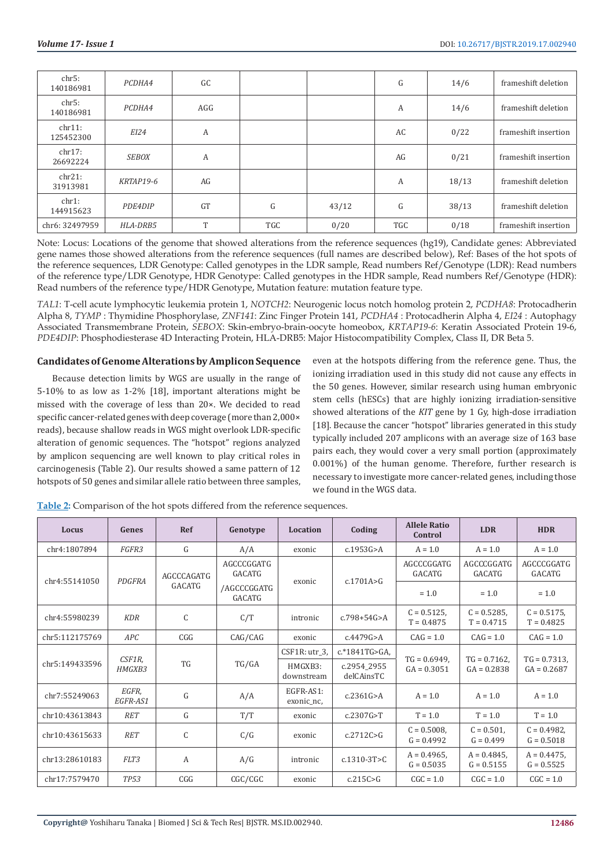| chr5:<br>140186981  | PCDHA4       | GC        |            |       | G   | 14/6  | frameshift deletion  |
|---------------------|--------------|-----------|------------|-------|-----|-------|----------------------|
| chr5:<br>140186981  | PCDHA4       | AGG       |            |       | А   | 14/6  | frameshift deletion  |
| chr11:<br>125452300 | EI24         | A         |            |       | AC  | 0/22  | frameshift insertion |
| chr17:<br>26692224  | <b>SEBOX</b> | A         |            |       | AG  | 0/21  | frameshift insertion |
| chr21:<br>31913981  | KRTAP19-6    | AG        |            |       | А   | 18/13 | frameshift deletion  |
| chr1:<br>144915623  | PDE4DIP      | <b>GT</b> | G          | 43/12 | G   | 38/13 | frameshift deletion  |
| chr6: 32497959      | HLA-DRB5     | T         | <b>TGC</b> | 0/20  | TGC | 0/18  | frameshift insertion |

Note: Locus: Locations of the genome that showed alterations from the reference sequences (hg19), Candidate genes: Abbreviated gene names those showed alterations from the reference sequences (full names are described below), Ref: Bases of the hot spots of the reference sequences, LDR Genotype: Called genotypes in the LDR sample, Read numbers Ref/Genotype (LDR): Read numbers of the reference type/LDR Genotype, HDR Genotype: Called genotypes in the HDR sample, Read numbers Ref/Genotype (HDR): Read numbers of the reference type/HDR Genotype, Mutation feature: mutation feature type.

*TAL1*: T-cell acute lymphocytic leukemia protein 1, *NOTCH2*: Neurogenic locus notch homolog protein 2, *PCDHA8*: Protocadherin Alpha 8, *TYMP* : Thymidine Phosphorylase, *ZNF141*: Zinc Finger Protein 141, *PCDHA4* : Protocadherin Alpha 4, *EI24* : Autophagy Associated Transmembrane Protein, *SEBOX*: Skin-embryo-brain-oocyte homeobox, *KRTAP19-6*: Keratin Associated Protein 19-6, *PDE4DIP*: Phosphodiesterase 4D Interacting Protein, HLA-DRB5: Major Histocompatibility Complex, Class II, DR Beta 5.

## **Candidates of Genome Alterations by Amplicon Sequence**

Because detection limits by WGS are usually in the range of 5-10% to as low as 1-2% [18], important alterations might be missed with the coverage of less than 20×. We decided to read specific cancer-related genes with deep coverage (more than 2,000× reads), because shallow reads in WGS might overlook LDR-specific alteration of genomic sequences. The "hotspot" regions analyzed by amplicon sequencing are well known to play critical roles in carcinogenesis (Table 2). Our results showed a same pattern of 12 hotspots of 50 genes and similar allele ratio between three samples,

even at the hotspots differing from the reference gene. Thus, the ionizing irradiation used in this study did not cause any effects in the 50 genes. However, similar research using human embryonic stem cells (hESCs) that are highly ionizing irradiation-sensitive showed alterations of the *KIT* gene by 1 Gy, high-dose irradiation [18]. Because the cancer "hotspot" libraries generated in this study typically included 207 amplicons with an average size of 163 base pairs each, they would cover a very small portion (approximately 0.001%) of the human genome. Therefore, further research is necessary to investigate more cancer-related genes, including those we found in the WGS data.

| Locus          | Genes                   | Ref                  | Genotype              | <b>Location</b>         | Coding                    | <b>Allele Ratio</b><br>Control | <b>LDR</b>                       | <b>HDR</b>                     |
|----------------|-------------------------|----------------------|-----------------------|-------------------------|---------------------------|--------------------------------|----------------------------------|--------------------------------|
| chr4:1807894   | FGFR3                   | G                    | A/A                   | exonic                  | c.1953G > A               | $A = 1.0$                      | $A = 1.0$                        | $A = 1.0$                      |
| chr4:55141050  | PDGFRA                  | AGCCCAGATG<br>GACATG | AGCCCGGATG<br>GACATG  | exonic                  | c.1701A > G               | AGCCCGGATG<br><b>GACATG</b>    | AGCCCGGATG<br><b>GACATG</b>      | AGCCCGGATG<br><b>GACATG</b>    |
|                |                         |                      | /AGCCCGGATG<br>GACATG |                         |                           | $= 1.0$                        | $= 1.0$                          | $= 1.0$                        |
| chr4:55980239  | <b>KDR</b>              | C                    | C/T                   | intronic                | $c.798 + 54G > A$         | $C = 0.5125$ ,<br>$T = 0.4875$ | $C = 0.5285$<br>$T = 0.4715$     | $C = 0.5175$ ,<br>$T = 0.4825$ |
| chr5:112175769 | APC                     | CGG                  | CAG/CAG               | exonic                  | c.4479G > A               | $CAG = 1.0$                    | $CAG = 1.0$                      | $CAG = 1.0$                    |
| chr5:149433596 | CSF1R,<br><i>HMGXB3</i> | <b>TG</b>            | TG/GA                 | $CSF1R:$ utr 3,         | $c.*1841TG>GA$            | $TG = 0.6949$ ,                | $TG = 0.7162$ ,<br>$GA = 0.2838$ | $TG = 0.7313$ ,                |
|                |                         |                      |                       | HMGXB3:<br>downstream   | c.2954 2955<br>delCAinsTC | $GA = 0.3051$                  |                                  | $GA = 0.2687$                  |
| chr7:55249063  | EGFR,<br>EGFR-AS1       | G                    | A/A                   | EGFR-AS1:<br>exonic_nc, | c.2361G > A               | $A = 1.0$                      | $A = 1.0$                        | $A = 1.0$                      |
| chr10:43613843 | <b>RET</b>              | G                    | T/T                   | exonic                  | c.2307G > T               | $T = 1.0$                      | $T = 1.0$                        | $T = 1.0$                      |
| chr10:43615633 | <b>RET</b>              | C                    | C/G                   | exonic                  | c.2712C > G               | $C = 0.5008$ ,<br>$G = 0.4992$ | $C = 0.501$ ,<br>$G = 0.499$     | $C = 0.4982$<br>$G = 0.5018$   |
| chr13:28610183 | FLT3                    | A                    | A/G                   | intronic                | $c.1310-3T>C$             | $A = 0.4965$ ,<br>$G = 0.5035$ | $A = 0.4845$ ,<br>$G = 0.5155$   | $A = 0.4475$ ,<br>$G = 0.5525$ |
| chr17:7579470  | <b>TP53</b>             | CGG                  | CGC/CGC               | exonic                  | c.215C>G                  | $CGC = 1.0$                    | $CGC = 1.0$                      | $CGC = 1.0$                    |

**Table 2:** Comparison of the hot spots differed from the reference sequences.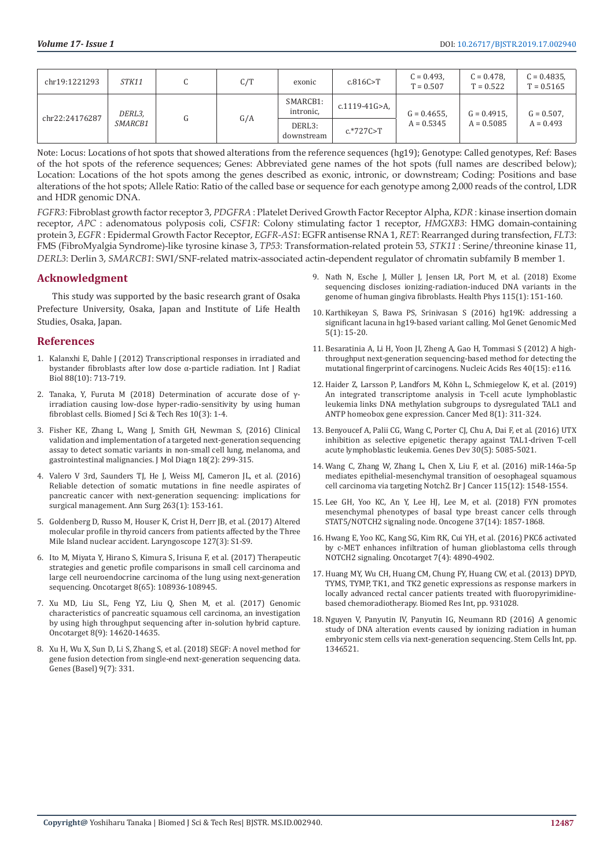| chr19:1221293  | STK11             | C/T | exonic                | c.816C > T    | $C = 0.493$ .<br>$T = 0.507$   | $C = 0.478$ .<br>$T = 0.522$   | $C = 0.4835$ ,<br>$T = 0.5165$ |
|----------------|-------------------|-----|-----------------------|---------------|--------------------------------|--------------------------------|--------------------------------|
| chr22:24176287 | DERL3,<br>SMARCB1 | G/A | SMARCB1:<br>intronic, | c.1119-41G>A, | $G = 0.4655$ ,<br>$A = 0.5345$ | $G = 0.4915$ ,<br>$A = 0.5085$ | $G = 0.507$ ,<br>$A = 0.493$   |
|                |                   |     | DERL3:<br>downstream  | $c.*727C>T$   |                                |                                |                                |

Note: Locus: Locations of hot spots that showed alterations from the reference sequences (hg19); Genotype: Called genotypes, Ref: Bases of the hot spots of the reference sequences; Genes: Abbreviated gene names of the hot spots (full names are described below); Location: Locations of the hot spots among the genes described as exonic, intronic, or downstream; Coding: Positions and base alterations of the hot spots; Allele Ratio: Ratio of the called base or sequence for each genotype among 2,000 reads of the control, LDR and HDR genomic DNA.

*FGFR3:* Fibroblast growth factor receptor 3, *PDGFRA* : Platelet Derived Growth Factor Receptor Alpha, *KDR* : kinase insertion domain receptor, *APC* : adenomatous polyposis coli, *CSF1R*: Colony stimulating factor 1 receptor, *HMGXB3*: HMG domain-containing protein 3, *EGFR* : Epidermal Growth Factor Receptor, *EGFR-AS1*: EGFR antisense RNA 1, *RET*: Rearranged during transfection, *FLT3*: FMS (FibroMyalgia Syndrome)-like tyrosine kinase 3, *TP53*: Transformation-related protein 53, *STK11* : Serine/threonine kinase 11, *DERL3*: Derlin 3, *SMARCB1*: SWI/SNF-related matrix-associated actin-dependent regulator of chromatin subfamily B member 1.

## **Acknowledgment**

This study was supported by the basic research grant of Osaka Prefecture University, Osaka, Japan and Institute of Life Health Studies, Osaka, Japan.

#### **References**

- 1. [Kalanxhi E, Dahle J \(2012\) Transcriptional responses in irradiated and](https://www.ncbi.nlm.nih.gov/pubmed/22765265)  [bystander fibroblasts after low dose α-particle radiation. Int J Radiat](https://www.ncbi.nlm.nih.gov/pubmed/22765265)  [Biol 88\(10\): 713-719.](https://www.ncbi.nlm.nih.gov/pubmed/22765265)
- 2. [Tanaka, Y, Furuta M \(2018\) Determination of accurate dose of γ](https://www.researchgate.net/publication/331037782_Determination_of_Accurate_Dose_of_g-_Irradiation_causing_Low-Dose_Hyper-Radio-Sensitivity_byUsing_Human_Fibroblast_Cells)[irradiation causing low-dose hyper-radio-sensitivity by using human](https://www.researchgate.net/publication/331037782_Determination_of_Accurate_Dose_of_g-_Irradiation_causing_Low-Dose_Hyper-Radio-Sensitivity_byUsing_Human_Fibroblast_Cells)  [fibroblast cells. Biomed J Sci & Tech Res 10\(3\): 1-4.](https://www.researchgate.net/publication/331037782_Determination_of_Accurate_Dose_of_g-_Irradiation_causing_Low-Dose_Hyper-Radio-Sensitivity_byUsing_Human_Fibroblast_Cells)
- 3. [Fisher KE, Zhang L, Wang J, Smith GH, Newman S, \(2016\) Clinical](https://www.ncbi.nlm.nih.gov/pubmed/26801070)  [validation and implementation of a targeted next-generation sequencing](https://www.ncbi.nlm.nih.gov/pubmed/26801070)  [assay to detect somatic variants in non-small cell lung, melanoma, and](https://www.ncbi.nlm.nih.gov/pubmed/26801070)  [gastrointestinal malignancies. J Mol Diagn 18\(2\): 299-315.](https://www.ncbi.nlm.nih.gov/pubmed/26801070)
- 4. [Valero V 3rd, Saunders TJ, He J, Weiss MJ, Cameron JL, et al. \(2016\)](https://www.ncbi.nlm.nih.gov/pubmed/26020105)  [Reliable detection of somatic mutations in fine needle aspirates of](https://www.ncbi.nlm.nih.gov/pubmed/26020105)  [pancreatic cancer with next-generation sequencing: implications for](https://www.ncbi.nlm.nih.gov/pubmed/26020105)  [surgical management. Ann Surg 263\(1\): 153-161.](https://www.ncbi.nlm.nih.gov/pubmed/26020105)
- 5. [Goldenberg D, Russo M, Houser K, Crist H, Derr JB, et al. \(2017\) Altered](https://www.ncbi.nlm.nih.gov/pubmed/28555940)  [molecular profile in thyroid cancers from patients affected by the Three](https://www.ncbi.nlm.nih.gov/pubmed/28555940)  [Mile Island nuclear accident. Laryngoscope 127\(3\): S1-S9.](https://www.ncbi.nlm.nih.gov/pubmed/28555940)
- 6. [Ito M, Miyata Y, Hirano S, Kimura S, Irisuna F, et al. \(2017\) Therapeutic](https://www.ncbi.nlm.nih.gov/pubmed/29312580)  [strategies and genetic profile comparisons in small cell carcinoma and](https://www.ncbi.nlm.nih.gov/pubmed/29312580)  [large cell neuroendocrine carcinoma of the lung using next-generation](https://www.ncbi.nlm.nih.gov/pubmed/29312580)  [sequencing. Oncotarget 8\(65\): 108936-108945.](https://www.ncbi.nlm.nih.gov/pubmed/29312580)
- 7. [Xu MD, Liu SL, Feng YZ, Liu Q, Shen M, et al. \(2017\) Genomic](https://www.ncbi.nlm.nih.gov/pubmed/28099906)  [characteristics of pancreatic squamous cell carcinoma, an investigation](https://www.ncbi.nlm.nih.gov/pubmed/28099906)  [by using high throughput sequencing after in-solution hybrid capture.](https://www.ncbi.nlm.nih.gov/pubmed/28099906)  [Oncotarget 8\(9\): 14620-14635.](https://www.ncbi.nlm.nih.gov/pubmed/28099906)
- 8. [Xu H, Wu X, Sun D, Li S, Zhang S, et al. \(2018\) SEGF: A novel method for](https://www.ncbi.nlm.nih.gov/pmc/articles/PMC6070977/)  [gene fusion detection from single-end next-generation sequencing data.](https://www.ncbi.nlm.nih.gov/pmc/articles/PMC6070977/)  [Genes \(Basel\) 9\(7\): 331.](https://www.ncbi.nlm.nih.gov/pmc/articles/PMC6070977/)
- 9. Nath N, Esche J, Mü[ller J, Jensen LR, Port M, et al. \(2018\) Exome](https://www.ncbi.nlm.nih.gov/pubmed/29787441) [sequencing discloses ionizing-radiation-induced DNA variants in the](https://www.ncbi.nlm.nih.gov/pubmed/29787441) [genome of human gingiva fibroblasts. Health Phys 115\(1\): 151-160.](https://www.ncbi.nlm.nih.gov/pubmed/29787441)
- 10. [Karthikeyan S, Bawa PS, Srinivasan S \(2016\) hg19K: addressing a](https://www.ncbi.nlm.nih.gov/pmc/articles/PMC5241214/) [significant lacuna in hg19-based variant calling. Mol Genet Genomic Med](https://www.ncbi.nlm.nih.gov/pmc/articles/PMC5241214/) [5\(1\): 15-20.](https://www.ncbi.nlm.nih.gov/pmc/articles/PMC5241214/)
- 11. [Besaratinia A, Li H, Yoon JI, Zheng A, Gao H, Tommasi S \(2012\) A high](https://www.ncbi.nlm.nih.gov/pubmed/22735701)[throughput next-generation sequencing-based method for detecting the](https://www.ncbi.nlm.nih.gov/pubmed/22735701) [mutational fingerprint of carcinogens. Nucleic Acids Res 40\(15\): e116.](https://www.ncbi.nlm.nih.gov/pubmed/22735701)
- 12. [Haider Z, Larsson P, Landfors M, K](https://www.ncbi.nlm.nih.gov/pubmed/30575306)öhn L, Schmiegelow K, et al. (2019) [An integrated transcriptome analysis in T-cell acute lymphoblastic](https://www.ncbi.nlm.nih.gov/pubmed/30575306) [leukemia links DNA methylation subgroups to dysregulated TAL1 and](https://www.ncbi.nlm.nih.gov/pubmed/30575306) [ANTP homeobox gene expression. Cancer Med 8\(1\): 311-324.](https://www.ncbi.nlm.nih.gov/pubmed/30575306)
- 13. [Benyoucef A, Palii CG, Wang C, Porter CJ, Chu A, Dai F, et al. \(2016\) UTX](https://www.ncbi.nlm.nih.gov/pubmed/26944678) [inhibition as selective epigenetic therapy against TAL1-driven T-cell](https://www.ncbi.nlm.nih.gov/pubmed/26944678) [acute lymphoblastic leukemia. Genes Dev 30\(5\): 5085-5021.](https://www.ncbi.nlm.nih.gov/pubmed/26944678)
- 14. [Wang C, Zhang W, Zhang L, Chen X, Liu F, et al. \(2016\) miR-146a-5p](https://www.ncbi.nlm.nih.gov/pubmed/27832663) [mediates epithelial-mesenchymal transition of oesophageal squamous](https://www.ncbi.nlm.nih.gov/pubmed/27832663) [cell carcinoma via targeting Notch2. Br J Cancer 115\(12\): 1548-1554.](https://www.ncbi.nlm.nih.gov/pubmed/27832663)
- 15. [Lee GH, Yoo KC, An Y, Lee HJ, Lee M, et al. \(2018\) FYN promotes](https://www.ncbi.nlm.nih.gov/pubmed/29348460) [mesenchymal phenotypes of basal type breast cancer cells through](https://www.ncbi.nlm.nih.gov/pubmed/29348460) [STAT5/NOTCH2 signaling node. Oncogene 37\(14\): 1857-1868.](https://www.ncbi.nlm.nih.gov/pubmed/29348460)
- 16. [Hwang E, Yoo KC, Kang SG, Kim RK, Cui YH, et al. \(2016\) PKC](https://www.ncbi.nlm.nih.gov/pubmed/26700818)δ activated [by c-MET enhances infiltration of human glioblastoma cells through](https://www.ncbi.nlm.nih.gov/pubmed/26700818) [NOTCH2 signaling. Oncotarget 7\(4\): 4890-4902.](https://www.ncbi.nlm.nih.gov/pubmed/26700818)
- 17. [Huang MY, Wu CH, Huang CM, Chung FY, Huang CW, et al. \(2013\) DPYD,](https://www.ncbi.nlm.nih.gov/pubmed/24455740) [TYMS, TYMP, TK1, and TK2 genetic expressions as response markers in](https://www.ncbi.nlm.nih.gov/pubmed/24455740) [locally advanced rectal cancer patients treated with fluoropyrimidine](https://www.ncbi.nlm.nih.gov/pubmed/24455740)[based chemoradiotherapy. Biomed Res Int, pp. 931028.](https://www.ncbi.nlm.nih.gov/pubmed/24455740)
- 18. [Nguyen V, Panyutin IV, Panyutin IG, Neumann RD \(2016\) A genomic](https://www.ncbi.nlm.nih.gov/pmc/articles/PMC4670683/) [study of DNA alteration events caused by ionizing radiation in human](https://www.ncbi.nlm.nih.gov/pmc/articles/PMC4670683/) [embryonic stem cells via next-generation sequencing. Stem Cells Int, pp.](https://www.ncbi.nlm.nih.gov/pmc/articles/PMC4670683/) [1346521.](https://www.ncbi.nlm.nih.gov/pmc/articles/PMC4670683/)